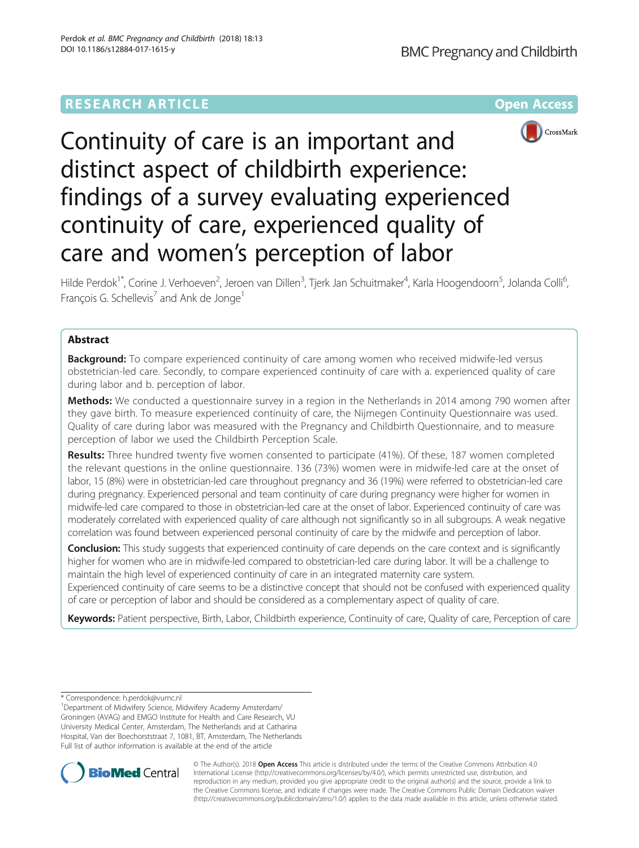## **RESEARCH ARTICLE Example 2014 12:30 The Company Access** (RESEARCH ARTICLE



# Continuity of care is an important and distinct aspect of childbirth experience: findings of a survey evaluating experienced continuity of care, experienced quality of care and women's perception of labor

Hilde Perdok<sup>1\*</sup>, Corine J. Verhoeven<sup>2</sup>, Jeroen van Dillen<sup>3</sup>, Tjerk Jan Schuitmaker<sup>4</sup>, Karla Hoogendoorn<sup>5</sup>, Jolanda Colli<sup>6</sup> י<br>, François G. Schellevis<sup>7</sup> and Ank de Jonge<sup>1</sup>

## Abstract

**Background:** To compare experienced continuity of care among women who received midwife-led versus obstetrician-led care. Secondly, to compare experienced continuity of care with a. experienced quality of care during labor and b. perception of labor.

Methods: We conducted a questionnaire survey in a region in the Netherlands in 2014 among 790 women after they gave birth. To measure experienced continuity of care, the Nijmegen Continuity Questionnaire was used. Quality of care during labor was measured with the Pregnancy and Childbirth Questionnaire, and to measure perception of labor we used the Childbirth Perception Scale.

Results: Three hundred twenty five women consented to participate (41%). Of these, 187 women completed the relevant questions in the online questionnaire. 136 (73%) women were in midwife-led care at the onset of labor, 15 (8%) were in obstetrician-led care throughout pregnancy and 36 (19%) were referred to obstetrician-led care during pregnancy. Experienced personal and team continuity of care during pregnancy were higher for women in midwife-led care compared to those in obstetrician-led care at the onset of labor. Experienced continuity of care was moderately correlated with experienced quality of care although not significantly so in all subgroups. A weak negative correlation was found between experienced personal continuity of care by the midwife and perception of labor.

**Conclusion:** This study suggests that experienced continuity of care depends on the care context and is significantly higher for women who are in midwife-led compared to obstetrician-led care during labor. It will be a challenge to maintain the high level of experienced continuity of care in an integrated maternity care system.

Experienced continuity of care seems to be a distinctive concept that should not be confused with experienced quality of care or perception of labor and should be considered as a complementary aspect of quality of care.

Keywords: Patient perspective, Birth, Labor, Childbirth experience, Continuity of care, Quality of care, Perception of care

Department of Midwifery Science, Midwifery Academy Amsterdam/ Groningen (AVAG) and EMGO Institute for Health and Care Research, VU University Medical Center, Amsterdam, The Netherlands and at Catharina Hospital, Van der Boechorststraat 7, 1081, BT, Amsterdam, The Netherlands Full list of author information is available at the end of the article



© The Author(s). 2018 Open Access This article is distributed under the terms of the Creative Commons Attribution 4.0 International License [\(http://creativecommons.org/licenses/by/4.0/](http://creativecommons.org/licenses/by/4.0/)), which permits unrestricted use, distribution, and reproduction in any medium, provided you give appropriate credit to the original author(s) and the source, provide a link to the Creative Commons license, and indicate if changes were made. The Creative Commons Public Domain Dedication waiver [\(http://creativecommons.org/publicdomain/zero/1.0/](http://creativecommons.org/publicdomain/zero/1.0/)) applies to the data made available in this article, unless otherwise stated.

<sup>\*</sup> Correspondence: [h.perdok@vumc.nl](mailto:h.perdok@vumc.nl) <sup>1</sup>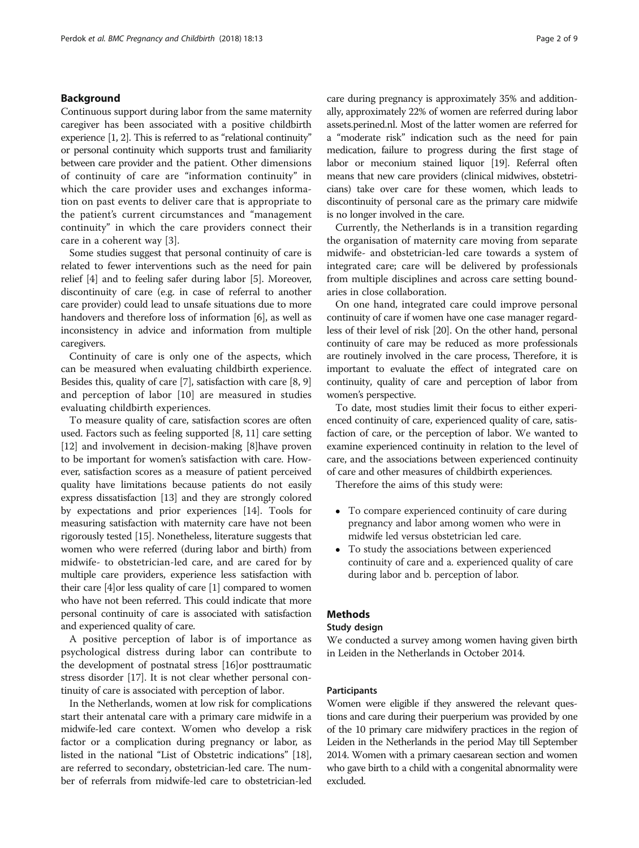## Background

Continuous support during labor from the same maternity caregiver has been associated with a positive childbirth experience [\[1](#page-7-0), [2](#page-7-0)]. This is referred to as "relational continuity" or personal continuity which supports trust and familiarity between care provider and the patient. Other dimensions of continuity of care are "information continuity" in which the care provider uses and exchanges information on past events to deliver care that is appropriate to the patient's current circumstances and "management continuity" in which the care providers connect their care in a coherent way [[3](#page-7-0)].

Some studies suggest that personal continuity of care is related to fewer interventions such as the need for pain relief [[4](#page-7-0)] and to feeling safer during labor [\[5\]](#page-7-0). Moreover, discontinuity of care (e.g. in case of referral to another care provider) could lead to unsafe situations due to more handovers and therefore loss of information [\[6](#page-7-0)], as well as inconsistency in advice and information from multiple caregivers.

Continuity of care is only one of the aspects, which can be measured when evaluating childbirth experience. Besides this, quality of care [[7](#page-7-0)], satisfaction with care [\[8,](#page-7-0) [9](#page-8-0)] and perception of labor [\[10](#page-8-0)] are measured in studies evaluating childbirth experiences.

To measure quality of care, satisfaction scores are often used. Factors such as feeling supported [\[8](#page-7-0), [11\]](#page-8-0) care setting [[12](#page-8-0)] and involvement in decision-making [[8\]](#page-7-0) have proven to be important for women's satisfaction with care. However, satisfaction scores as a measure of patient perceived quality have limitations because patients do not easily express dissatisfaction [[13](#page-8-0)] and they are strongly colored by expectations and prior experiences [[14](#page-8-0)]. Tools for measuring satisfaction with maternity care have not been rigorously tested [[15](#page-8-0)]. Nonetheless, literature suggests that women who were referred (during labor and birth) from midwife- to obstetrician-led care, and are cared for by multiple care providers, experience less satisfaction with their care [\[4\]](#page-7-0)or less quality of care [[1](#page-7-0)] compared to women who have not been referred. This could indicate that more personal continuity of care is associated with satisfaction and experienced quality of care.

A positive perception of labor is of importance as psychological distress during labor can contribute to the development of postnatal stress [[16](#page-8-0)]or posttraumatic stress disorder [[17](#page-8-0)]. It is not clear whether personal continuity of care is associated with perception of labor.

In the Netherlands, women at low risk for complications start their antenatal care with a primary care midwife in a midwife-led care context. Women who develop a risk factor or a complication during pregnancy or labor, as listed in the national "List of Obstetric indications" [[18](#page-8-0)], are referred to secondary, obstetrician-led care. The number of referrals from midwife-led care to obstetrician-led care during pregnancy is approximately 35% and additionally, approximately 22% of women are referred during labor [assets.perined.nl.](http://assets.perined.nl) Most of the latter women are referred for a "moderate risk" indication such as the need for pain medication, failure to progress during the first stage of labor or meconium stained liquor [[19](#page-8-0)]. Referral often means that new care providers (clinical midwives, obstetricians) take over care for these women, which leads to discontinuity of personal care as the primary care midwife is no longer involved in the care.

Currently, the Netherlands is in a transition regarding the organisation of maternity care moving from separate midwife- and obstetrician-led care towards a system of integrated care; care will be delivered by professionals from multiple disciplines and across care setting boundaries in close collaboration.

On one hand, integrated care could improve personal continuity of care if women have one case manager regardless of their level of risk [[20](#page-8-0)]. On the other hand, personal continuity of care may be reduced as more professionals are routinely involved in the care process, Therefore, it is important to evaluate the effect of integrated care on continuity, quality of care and perception of labor from women's perspective.

To date, most studies limit their focus to either experienced continuity of care, experienced quality of care, satisfaction of care, or the perception of labor. We wanted to examine experienced continuity in relation to the level of care, and the associations between experienced continuity of care and other measures of childbirth experiences.

Therefore the aims of this study were:

- To compare experienced continuity of care during pregnancy and labor among women who were in midwife led versus obstetrician led care.
- To study the associations between experienced continuity of care and a. experienced quality of care during labor and b. perception of labor.

## Methods

## Study design

We conducted a survey among women having given birth in Leiden in the Netherlands in October 2014.

## Participants

Women were eligible if they answered the relevant questions and care during their puerperium was provided by one of the 10 primary care midwifery practices in the region of Leiden in the Netherlands in the period May till September 2014. Women with a primary caesarean section and women who gave birth to a child with a congenital abnormality were excluded.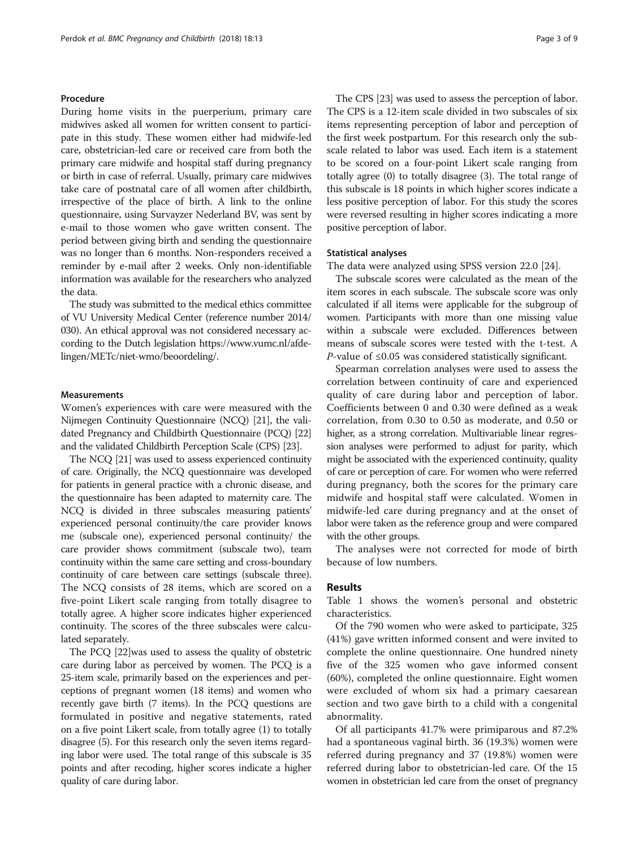## Procedure

During home visits in the puerperium, primary care midwives asked all women for written consent to participate in this study. These women either had midwife-led care, obstetrician-led care or received care from both the primary care midwife and hospital staff during pregnancy or birth in case of referral. Usually, primary care midwives take care of postnatal care of all women after childbirth, irrespective of the place of birth. A link to the online questionnaire, using Survayzer Nederland BV, was sent by e-mail to those women who gave written consent. The period between giving birth and sending the questionnaire was no longer than 6 months. Non-responders received a reminder by e-mail after 2 weeks. Only non-identifiable information was available for the researchers who analyzed the data.

The study was submitted to the medical ethics committee of VU University Medical Center (reference number 2014/ 030). An ethical approval was not considered necessary according to the Dutch legislation [https://www.vumc.nl/afde](https://www.vumc.nl/afdelingen/METc/niet-wmo/beoordeling/)[lingen/METc/niet-wmo/beoordeling/.](https://www.vumc.nl/afdelingen/METc/niet-wmo/beoordeling/)

#### Measurements

Women's experiences with care were measured with the Nijmegen Continuity Questionnaire (NCQ) [\[21](#page-8-0)], the validated Pregnancy and Childbirth Questionnaire (PCQ) [[22](#page-8-0)] and the validated Childbirth Perception Scale (CPS) [[23](#page-8-0)].

The NCQ [\[21\]](#page-8-0) was used to assess experienced continuity of care. Originally, the NCQ questionnaire was developed for patients in general practice with a chronic disease, and the questionnaire has been adapted to maternity care. The NCQ is divided in three subscales measuring patients' experienced personal continuity/the care provider knows me (subscale one), experienced personal continuity/ the care provider shows commitment (subscale two), team continuity within the same care setting and cross-boundary continuity of care between care settings (subscale three). The NCQ consists of 28 items, which are scored on a five-point Likert scale ranging from totally disagree to totally agree. A higher score indicates higher experienced continuity. The scores of the three subscales were calculated separately.

The PCQ [[22](#page-8-0)]was used to assess the quality of obstetric care during labor as perceived by women. The PCQ is a 25-item scale, primarily based on the experiences and perceptions of pregnant women (18 items) and women who recently gave birth (7 items). In the PCQ questions are formulated in positive and negative statements, rated on a five point Likert scale, from totally agree (1) to totally disagree (5). For this research only the seven items regarding labor were used. The total range of this subscale is 35 points and after recoding, higher scores indicate a higher quality of care during labor.

The CPS [\[23\]](#page-8-0) was used to assess the perception of labor. The CPS is a 12-item scale divided in two subscales of six items representing perception of labor and perception of the first week postpartum. For this research only the subscale related to labor was used. Each item is a statement to be scored on a four-point Likert scale ranging from totally agree (0) to totally disagree (3). The total range of this subscale is 18 points in which higher scores indicate a less positive perception of labor. For this study the scores were reversed resulting in higher scores indicating a more positive perception of labor.

#### Statistical analyses

The data were analyzed using SPSS version 22.0 [[24\]](#page-8-0).

The subscale scores were calculated as the mean of the item scores in each subscale. The subscale score was only calculated if all items were applicable for the subgroup of women. Participants with more than one missing value within a subscale were excluded. Differences between means of subscale scores were tested with the t-test. A *P*-value of ≤0.05 was considered statistically significant.

Spearman correlation analyses were used to assess the correlation between continuity of care and experienced quality of care during labor and perception of labor. Coefficients between 0 and 0.30 were defined as a weak correlation, from 0.30 to 0.50 as moderate, and 0.50 or higher, as a strong correlation. Multivariable linear regression analyses were performed to adjust for parity, which might be associated with the experienced continuity, quality of care or perception of care. For women who were referred during pregnancy, both the scores for the primary care midwife and hospital staff were calculated. Women in midwife-led care during pregnancy and at the onset of labor were taken as the reference group and were compared with the other groups.

The analyses were not corrected for mode of birth because of low numbers.

### Results

Table [1](#page-3-0) shows the women's personal and obstetric characteristics.

Of the 790 women who were asked to participate, 325 (41%) gave written informed consent and were invited to complete the online questionnaire. One hundred ninety five of the 325 women who gave informed consent (60%), completed the online questionnaire. Eight women were excluded of whom six had a primary caesarean section and two gave birth to a child with a congenital abnormality.

Of all participants 41.7% were primiparous and 87.2% had a spontaneous vaginal birth. 36 (19.3%) women were referred during pregnancy and 37 (19.8%) women were referred during labor to obstetrician-led care. Of the 15 women in obstetrician led care from the onset of pregnancy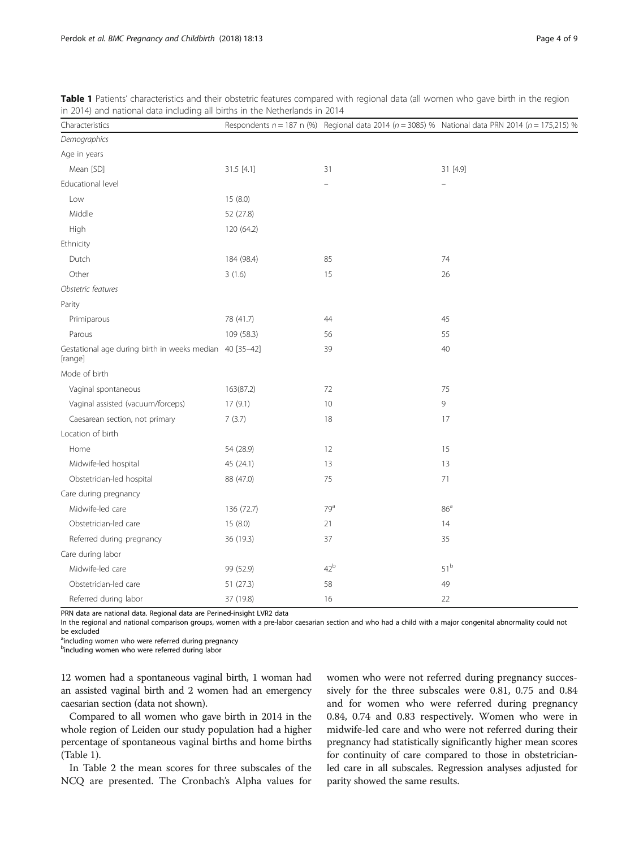| Characteristics                                                    |            |                 | Respondents $n = 187$ n (%) Regional data 2014 ( $n = 3085$ ) % National data PRN 2014 ( $n = 175,215$ ) % |
|--------------------------------------------------------------------|------------|-----------------|------------------------------------------------------------------------------------------------------------|
| Demographics                                                       |            |                 |                                                                                                            |
| Age in years                                                       |            |                 |                                                                                                            |
| Mean [SD]                                                          | 31.5 [4.1] | 31              | 31 [4.9]                                                                                                   |
| Educational level                                                  |            | $\overline{a}$  | $\overline{a}$                                                                                             |
| Low                                                                | 15(8.0)    |                 |                                                                                                            |
| Middle                                                             | 52 (27.8)  |                 |                                                                                                            |
| High                                                               | 120 (64.2) |                 |                                                                                                            |
| Ethnicity                                                          |            |                 |                                                                                                            |
| Dutch                                                              | 184 (98.4) | 85              | 74                                                                                                         |
| Other                                                              | 3(1.6)     | 15              | 26                                                                                                         |
| Obstetric features                                                 |            |                 |                                                                                                            |
| Parity                                                             |            |                 |                                                                                                            |
| Primiparous                                                        | 78 (41.7)  | 44              | 45                                                                                                         |
| Parous                                                             | 109 (58.3) | 56              | 55                                                                                                         |
| Gestational age during birth in weeks median 40 [35-42]<br>[range] |            | 39              | $40\,$                                                                                                     |
| Mode of birth                                                      |            |                 |                                                                                                            |
| Vaginal spontaneous                                                | 163(87.2)  | 72              | 75                                                                                                         |
| Vaginal assisted (vacuum/forceps)                                  | 17(9.1)    | 10              | 9                                                                                                          |
| Caesarean section, not primary                                     | 7(3.7)     | 18              | 17                                                                                                         |
| Location of birth                                                  |            |                 |                                                                                                            |
| Home                                                               | 54 (28.9)  | 12              | 15                                                                                                         |
| Midwife-led hospital                                               | 45 (24.1)  | 13              | 13                                                                                                         |
| Obstetrician-led hospital                                          | 88 (47.0)  | 75              | 71                                                                                                         |
| Care during pregnancy                                              |            |                 |                                                                                                            |
| Midwife-led care                                                   | 136 (72.7) | 79 <sup>a</sup> | 86 <sup>a</sup>                                                                                            |
| Obstetrician-led care                                              | 15 (8.0)   | 21              | 14                                                                                                         |
| Referred during pregnancy                                          | 36 (19.3)  | 37              | 35                                                                                                         |
| Care during labor                                                  |            |                 |                                                                                                            |
| Midwife-led care                                                   | 99 (52.9)  | 42 <sup>b</sup> | 51 <sup>b</sup>                                                                                            |
| Obstetrician-led care                                              | 51 (27.3)  | 58              | 49                                                                                                         |
| Referred during labor                                              | 37 (19.8)  | 16              | 22                                                                                                         |

<span id="page-3-0"></span>Table 1 Patients' characteristics and their obstetric features compared with regional data (all women who gave birth in the region in 2014) and national data including all births in the Netherlands in 2014

PRN data are national data. Regional data are Perined-insight LVR2 data

In the regional and national comparison groups, women with a pre-labor caesarian section and who had a child with a major congenital abnormality could not be excluded

<sup>a</sup>including women who were referred during pregnancy

bincluding women who were referred during labor

12 women had a spontaneous vaginal birth, 1 woman had an assisted vaginal birth and 2 women had an emergency caesarian section (data not shown).

Compared to all women who gave birth in 2014 in the whole region of Leiden our study population had a higher percentage of spontaneous vaginal births and home births (Table 1).

In Table [2](#page-4-0) the mean scores for three subscales of the NCQ are presented. The Cronbach's Alpha values for women who were not referred during pregnancy successively for the three subscales were 0.81, 0.75 and 0.84 and for women who were referred during pregnancy 0.84, 0.74 and 0.83 respectively. Women who were in midwife-led care and who were not referred during their pregnancy had statistically significantly higher mean scores for continuity of care compared to those in obstetricianled care in all subscales. Regression analyses adjusted for parity showed the same results.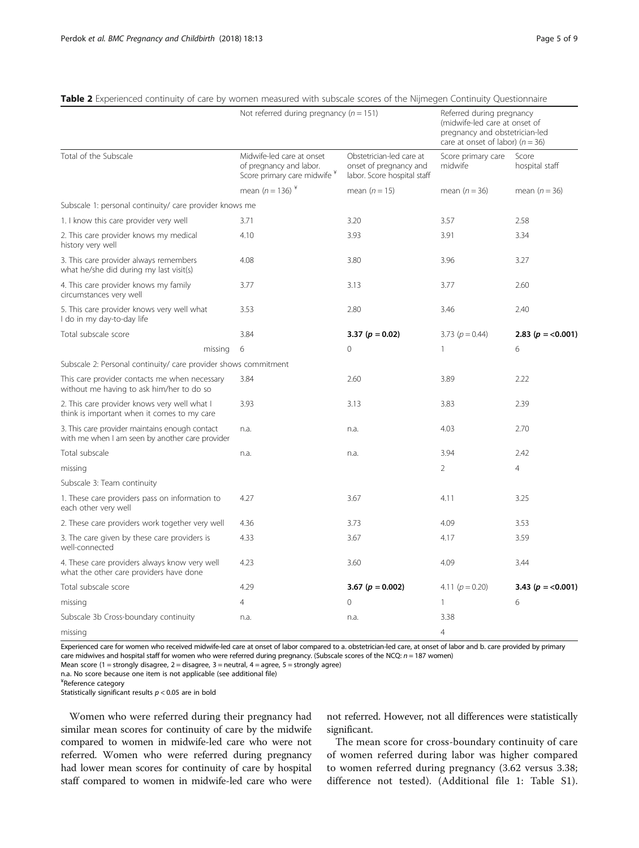|                                                                                                   | Not referred during pregnancy ( $n = 151$ )                                          | Referred during pregnancy<br>(midwife-led care at onset of<br>pregnancy and obstetrician-led<br>care at onset of labor) ( $n = 36$ ) |                               |                         |
|---------------------------------------------------------------------------------------------------|--------------------------------------------------------------------------------------|--------------------------------------------------------------------------------------------------------------------------------------|-------------------------------|-------------------------|
| Total of the Subscale                                                                             | Midwife-led care at onset<br>of pregnancy and labor.<br>Score primary care midwife * | Obstetrician-led care at<br>onset of pregnancy and<br>labor. Score hospital staff                                                    | Score primary care<br>midwife | Score<br>hospital staff |
|                                                                                                   | mean $(n = 136)^{*}$                                                                 | mean $(n = 15)$                                                                                                                      | mean $(n = 36)$               | mean $(n = 36)$         |
| Subscale 1: personal continuity/ care provider knows me                                           |                                                                                      |                                                                                                                                      |                               |                         |
| 1. I know this care provider very well                                                            | 3.71                                                                                 | 3.20                                                                                                                                 | 3.57                          | 2.58                    |
| 2. This care provider knows my medical<br>history very well                                       | 4.10                                                                                 | 3.93                                                                                                                                 | 3.91                          | 3.34                    |
| 3. This care provider always remembers<br>what he/she did during my last visit(s)                 | 4.08                                                                                 | 3.80                                                                                                                                 | 3.96                          | 3.27                    |
| 4. This care provider knows my family<br>circumstances very well                                  | 3.77                                                                                 | 3.13                                                                                                                                 | 3.77                          | 2.60                    |
| 5. This care provider knows very well what<br>I do in my day-to-day life                          | 3.53                                                                                 | 2.80                                                                                                                                 | 3.46                          | 2.40                    |
| Total subscale score                                                                              | 3.84                                                                                 | 3.37 ( $p = 0.02$ )                                                                                                                  | 3.73 ( $p = 0.44$ )           | 2.83 ( $p = < 0.001$ )  |
| missing                                                                                           | 6                                                                                    | $\mathbf 0$                                                                                                                          | $\mathbf{1}$                  | 6                       |
| Subscale 2: Personal continuity/ care provider shows commitment                                   |                                                                                      |                                                                                                                                      |                               |                         |
| This care provider contacts me when necessary<br>without me having to ask him/her to do so        | 3.84                                                                                 | 2.60                                                                                                                                 | 3.89                          | 2.22                    |
| 2. This care provider knows very well what I<br>think is important when it comes to my care       | 3.93                                                                                 | 3.13                                                                                                                                 | 3.83                          | 2.39                    |
| 3. This care provider maintains enough contact<br>with me when I am seen by another care provider | n.a.                                                                                 | n.a.                                                                                                                                 | 4.03                          | 2.70                    |
| Total subscale                                                                                    | n.a.                                                                                 | n.a.                                                                                                                                 | 3.94                          | 2.42                    |
| missing                                                                                           |                                                                                      |                                                                                                                                      | $\overline{2}$                | $\overline{4}$          |
| Subscale 3: Team continuity                                                                       |                                                                                      |                                                                                                                                      |                               |                         |
| 1. These care providers pass on information to<br>each other very well                            | 4.27                                                                                 | 3.67                                                                                                                                 | 4.11                          | 3.25                    |
| 2. These care providers work together very well                                                   | 4.36                                                                                 | 3.73                                                                                                                                 | 4.09                          | 3.53                    |
| 3. The care given by these care providers is<br>well-connected                                    | 4.33                                                                                 | 3.67                                                                                                                                 | 4.17                          | 3.59                    |
| 4. These care providers always know very well<br>what the other care providers have done          | 4.23                                                                                 | 3.60                                                                                                                                 | 4.09                          | 3.44                    |
| Total subscale score                                                                              | 4.29                                                                                 | 3.67 ( $p = 0.002$ )                                                                                                                 | 4.11 ( $p = 0.20$ )           | 3.43 ( $p = < 0.001$ )  |
| missing                                                                                           | $\overline{4}$                                                                       | $\overline{0}$                                                                                                                       | 1                             | 6                       |
| Subscale 3b Cross-boundary continuity                                                             | n.a.                                                                                 | n.a.                                                                                                                                 | 3.38                          |                         |
| missing                                                                                           |                                                                                      |                                                                                                                                      | $\overline{4}$                |                         |

## <span id="page-4-0"></span>Table 2 Experienced continuity of care by women measured with subscale scores of the Nijmegen Continuity Questionnaire

Experienced care for women who received midwife-led care at onset of labor compared to a. obstetrician-led care, at onset of labor and b. care provided by primary care midwives and hospital staff for women who were referred during pregnancy. (Subscale scores of the NCQ:  $n = 187$  women)

Mean score (1 = strongly disagree, 2 = disagree, 3 = neutral, 4 = agree, 5 = strongly agree)

Statistically significant results  $p < 0.05$  are in bold

Women who were referred during their pregnancy had similar mean scores for continuity of care by the midwife compared to women in midwife-led care who were not referred. Women who were referred during pregnancy had lower mean scores for continuity of care by hospital staff compared to women in midwife-led care who were

not referred. However, not all differences were statistically significant.

The mean score for cross-boundary continuity of care of women referred during labor was higher compared to women referred during pregnancy (3.62 versus 3.38; difference not tested). (Additional file [1:](#page-7-0) Table S1).

n.a. No score because one item is not applicable (see additional file) ¥ Reference category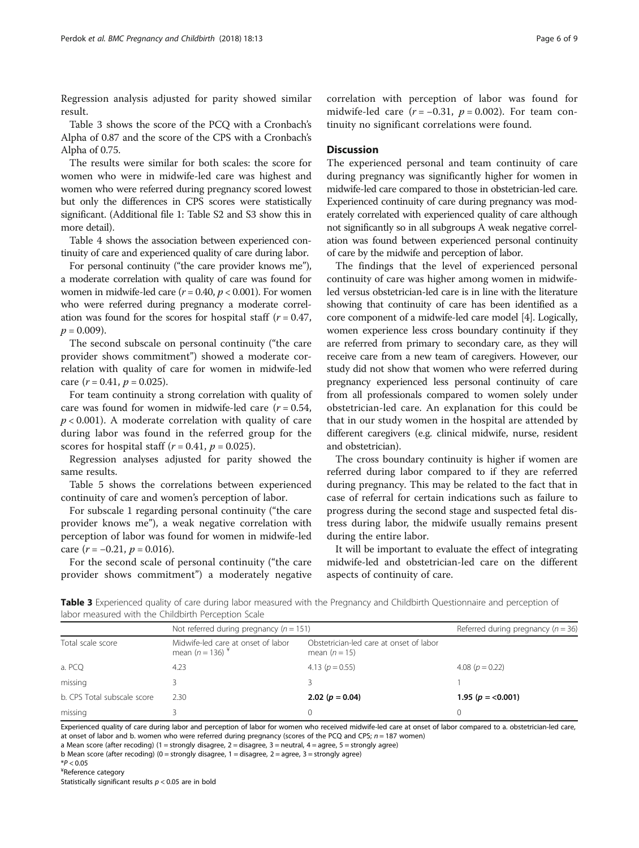Regression analysis adjusted for parity showed similar result.

Table 3 shows the score of the PCQ with a Cronbach's Alpha of 0.87 and the score of the CPS with a Cronbach's Alpha of 0.75.

The results were similar for both scales: the score for women who were in midwife-led care was highest and women who were referred during pregnancy scored lowest but only the differences in CPS scores were statistically significant. (Additional file [1](#page-7-0): Table S2 and S3 show this in more detail).

Table [4](#page-6-0) shows the association between experienced continuity of care and experienced quality of care during labor.

For personal continuity ("the care provider knows me"), a moderate correlation with quality of care was found for women in midwife-led care ( $r = 0.40$ ,  $p < 0.001$ ). For women who were referred during pregnancy a moderate correlation was found for the scores for hospital staff  $(r = 0.47,$  $p = 0.009$ ).

The second subscale on personal continuity ("the care provider shows commitment") showed a moderate correlation with quality of care for women in midwife-led care  $(r = 0.41, p = 0.025)$ .

For team continuity a strong correlation with quality of care was found for women in midwife-led care  $(r = 0.54,$  $p < 0.001$ ). A moderate correlation with quality of care during labor was found in the referred group for the scores for hospital staff  $(r = 0.41, p = 0.025)$ .

Regression analyses adjusted for parity showed the same results.

Table [5](#page-6-0) shows the correlations between experienced continuity of care and women's perception of labor.

For subscale 1 regarding personal continuity ("the care provider knows me"), a weak negative correlation with perception of labor was found for women in midwife-led care  $(r = -0.21, p = 0.016)$ .

For the second scale of personal continuity ("the care provider shows commitment") a moderately negative

correlation with perception of labor was found for midwife-led care  $(r = -0.31, p = 0.002)$ . For team continuity no significant correlations were found.

## **Discussion**

The experienced personal and team continuity of care during pregnancy was significantly higher for women in midwife-led care compared to those in obstetrician-led care. Experienced continuity of care during pregnancy was moderately correlated with experienced quality of care although not significantly so in all subgroups A weak negative correlation was found between experienced personal continuity of care by the midwife and perception of labor.

The findings that the level of experienced personal continuity of care was higher among women in midwifeled versus obstetrician-led care is in line with the literature showing that continuity of care has been identified as a core component of a midwife-led care model [\[4\]](#page-7-0). Logically, women experience less cross boundary continuity if they are referred from primary to secondary care, as they will receive care from a new team of caregivers. However, our study did not show that women who were referred during pregnancy experienced less personal continuity of care from all professionals compared to women solely under obstetrician-led care. An explanation for this could be that in our study women in the hospital are attended by different caregivers (e.g. clinical midwife, nurse, resident and obstetrician).

The cross boundary continuity is higher if women are referred during labor compared to if they are referred during pregnancy. This may be related to the fact that in case of referral for certain indications such as failure to progress during the second stage and suspected fetal distress during labor, the midwife usually remains present during the entire labor.

It will be important to evaluate the effect of integrating midwife-led and obstetrician-led care on the different aspects of continuity of care.

Table 3 Experienced quality of care during labor measured with the Pregnancy and Childbirth Questionnaire and perception of labor measured with the Childbirth Perception Scale

|                             | Not referred during pregnancy ( $n = 151$ )                | Referred during pregnancy ( $n = 36$ )                   |                        |
|-----------------------------|------------------------------------------------------------|----------------------------------------------------------|------------------------|
| Total scale score           | Midwife-led care at onset of labor<br>mean $(n = 136)^{*}$ | Obstetrician-led care at onset of labor<br>mean $(n=15)$ |                        |
| a. PCQ                      | 4.23                                                       | 4.13 ( $p = 0.55$ )                                      | 4.08 ( $p = 0.22$ )    |
| missing                     |                                                            |                                                          |                        |
| b. CPS Total subscale score | 2.30                                                       | 2.02 ( $p = 0.04$ )                                      | 1.95 ( $p = < 0.001$ ) |
| missing                     |                                                            |                                                          |                        |

Experienced quality of care during labor and perception of labor for women who received midwife-led care at onset of labor compared to a. obstetrician-led care, at onset of labor and b. women who were referred during pregnancy (scores of the PCQ and CPS; n = 187 women)

a Mean score (after recoding) (1 = strongly disagree, 2 = disagree, 3 = neutral, 4 = agree, 5 = strongly agree)

b Mean score (after recoding) (0 = strongly disagree, 1 = disagree, 2 = agree, 3 = strongly agree)

 $*P < 0.05$ 

Reference category

Statistically significant results  $p < 0.05$  are in bold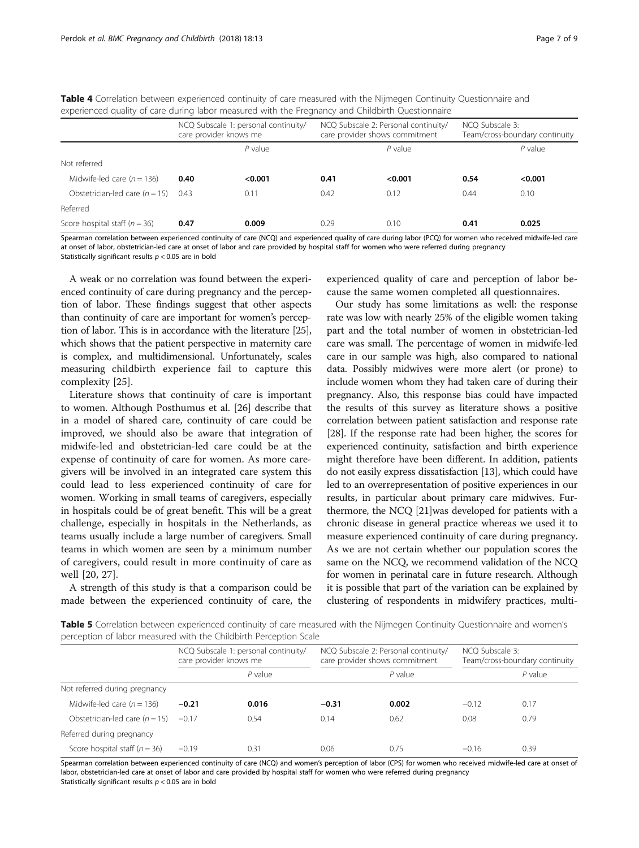| 0.009                                                          | 0.29 | 0.10                                                                   | 0.41 | 0.025                                             |  |
|----------------------------------------------------------------|------|------------------------------------------------------------------------|------|---------------------------------------------------|--|
|                                                                |      |                                                                        |      |                                                   |  |
| 0.11                                                           | 0.42 | 0.12                                                                   | 0.44 | 0.10                                              |  |
| < 0.001                                                        | 0.41 | < 0.001                                                                | 0.54 | < 0.001                                           |  |
|                                                                |      |                                                                        |      |                                                   |  |
| $P$ value                                                      |      | $P$ value                                                              |      | $P$ value                                         |  |
| NCQ Subscale 1: personal continuity/<br>care provider knows me |      | NCQ Subscale 2: Personal continuity/<br>care provider shows commitment |      | NCQ Subscale 3:<br>Team/cross-boundary continuity |  |
|                                                                |      |                                                                        |      |                                                   |  |

<span id="page-6-0"></span>Table 4 Correlation between experienced continuity of care measured with the Nijmegen Continuity Questionnaire and experienced quality of care during labor measured with the Pregnancy and Childbirth Questionnaire

Spearman correlation between experienced continuity of care (NCQ) and experienced quality of care during labor (PCQ) for women who received midwife-led care at onset of labor, obstetrician-led care at onset of labor and care provided by hospital staff for women who were referred during pregnancy Statistically significant results  $p < 0.05$  are in bold

A weak or no correlation was found between the experienced continuity of care during pregnancy and the perception of labor. These findings suggest that other aspects than continuity of care are important for women's perception of labor. This is in accordance with the literature [[25](#page-8-0)], which shows that the patient perspective in maternity care is complex, and multidimensional. Unfortunately, scales measuring childbirth experience fail to capture this complexity [[25\]](#page-8-0).

Literature shows that continuity of care is important to women. Although Posthumus et al. [\[26\]](#page-8-0) describe that in a model of shared care, continuity of care could be improved, we should also be aware that integration of midwife-led and obstetrician-led care could be at the expense of continuity of care for women. As more caregivers will be involved in an integrated care system this could lead to less experienced continuity of care for women. Working in small teams of caregivers, especially in hospitals could be of great benefit. This will be a great challenge, especially in hospitals in the Netherlands, as teams usually include a large number of caregivers. Small teams in which women are seen by a minimum number of caregivers, could result in more continuity of care as well [[20, 27\]](#page-8-0).

A strength of this study is that a comparison could be made between the experienced continuity of care, the experienced quality of care and perception of labor because the same women completed all questionnaires.

Our study has some limitations as well: the response rate was low with nearly 25% of the eligible women taking part and the total number of women in obstetrician-led care was small. The percentage of women in midwife-led care in our sample was high, also compared to national data. Possibly midwives were more alert (or prone) to include women whom they had taken care of during their pregnancy. Also, this response bias could have impacted the results of this survey as literature shows a positive correlation between patient satisfaction and response rate [[28](#page-8-0)]. If the response rate had been higher, the scores for experienced continuity, satisfaction and birth experience might therefore have been different. In addition, patients do not easily express dissatisfaction [[13](#page-8-0)], which could have led to an overrepresentation of positive experiences in our results, in particular about primary care midwives. Furthermore, the NCQ [[21](#page-8-0)]was developed for patients with a chronic disease in general practice whereas we used it to measure experienced continuity of care during pregnancy. As we are not certain whether our population scores the same on the NCQ, we recommend validation of the NCQ for women in perinatal care in future research. Although it is possible that part of the variation can be explained by clustering of respondents in midwifery practices, multi-

Table 5 Correlation between experienced continuity of care measured with the Nijmegen Continuity Questionnaire and women's perception of labor measured with the Childbirth Perception Scale

|                                                                                                                                                             | NCQ Subscale 1: personal continuity/<br>care provider knows me |           | NCQ Subscale 2: Personal continuity/<br>care provider shows commitment |           | NCO Subscale 3:<br>Team/cross-boundary continuity |           |
|-------------------------------------------------------------------------------------------------------------------------------------------------------------|----------------------------------------------------------------|-----------|------------------------------------------------------------------------|-----------|---------------------------------------------------|-----------|
|                                                                                                                                                             |                                                                | $P$ value |                                                                        | $P$ value |                                                   | $P$ value |
| Not referred during pregnancy                                                                                                                               |                                                                |           |                                                                        |           |                                                   |           |
| Midwife-led care $(n = 136)$                                                                                                                                | $-0.21$                                                        | 0.016     | $-0.31$                                                                | 0.002     | $-0.12$                                           | 0.17      |
| Obstetrician-led care ( $n = 15$ )                                                                                                                          | $-0.17$                                                        | 0.54      | 0.14                                                                   | 0.62      | 0.08                                              | 0.79      |
| Referred during pregnancy                                                                                                                                   |                                                                |           |                                                                        |           |                                                   |           |
| Score hospital staff $(n = 36)$                                                                                                                             | $-0.19$                                                        | 0.31      | 0.06                                                                   | 0.75      | $-0.16$                                           | 0.39      |
| Spearman correlation between experienced continuity of care (NCQ) and women's perception of labor (CPS) for women who received midwife-led care at onset of |                                                                |           |                                                                        |           |                                                   |           |

labor, obstetrician-led care at onset of labor and care provided by hospital staff for women who were referred during pregnancy Statistically significant results  $p < 0.05$  are in bold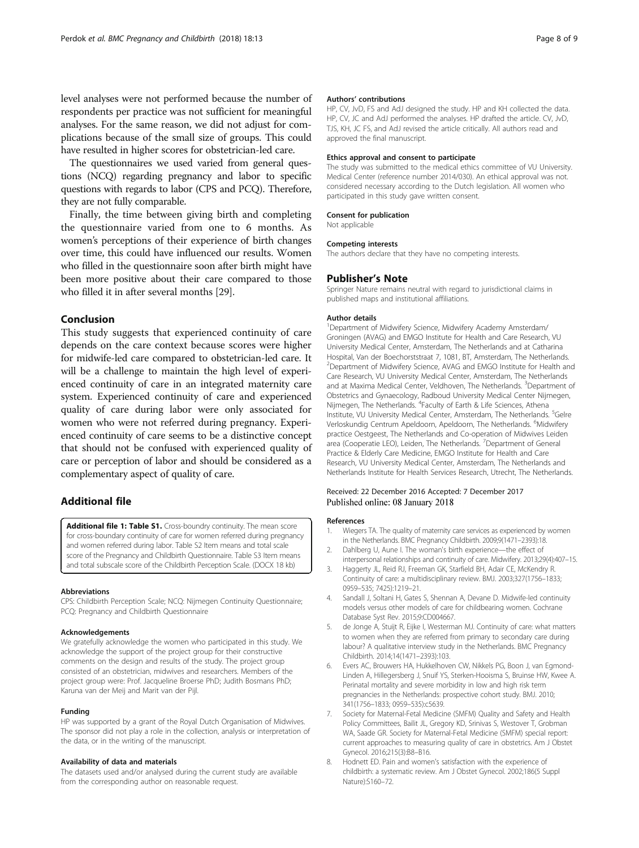<span id="page-7-0"></span>level analyses were not performed because the number of respondents per practice was not sufficient for meaningful analyses. For the same reason, we did not adjust for complications because of the small size of groups. This could have resulted in higher scores for obstetrician-led care.

The questionnaires we used varied from general questions (NCQ) regarding pregnancy and labor to specific questions with regards to labor (CPS and PCQ). Therefore, they are not fully comparable.

Finally, the time between giving birth and completing the questionnaire varied from one to 6 months. As women's perceptions of their experience of birth changes over time, this could have influenced our results. Women who filled in the questionnaire soon after birth might have been more positive about their care compared to those who filled it in after several months [\[29\]](#page-8-0).

## Conclusion

This study suggests that experienced continuity of care depends on the care context because scores were higher for midwife-led care compared to obstetrician-led care. It will be a challenge to maintain the high level of experienced continuity of care in an integrated maternity care system. Experienced continuity of care and experienced quality of care during labor were only associated for women who were not referred during pregnancy. Experienced continuity of care seems to be a distinctive concept that should not be confused with experienced quality of care or perception of labor and should be considered as a complementary aspect of quality of care.

## Additional file

[Additional file 1: Table S1.](dx.doi.org/10.1186/s12884-017-1615-y) Cross-boundry continuity. The mean score for cross-boundary continuity of care for women referred during pregnancy and women referred during labor. Table S2 Item means and total scale score of the Pregnancy and Childbirth Questionnaire. Table S3 Item means and total subscale score of the Childbirth Perception Scale. (DOCX 18 kb)

#### Abbreviations

CPS: Childbirth Perception Scale; NCQ: Nijmegen Continuity Questionnaire; PCQ: Pregnancy and Childbirth Questionnaire

#### Acknowledgements

We gratefully acknowledge the women who participated in this study. We acknowledge the support of the project group for their constructive comments on the design and results of the study. The project group consisted of an obstetrician, midwives and researchers. Members of the project group were: Prof. Jacqueline Broerse PhD; Judith Bosmans PhD; Karuna van der Meij and Marit van der Pijl.

#### Funding

HP was supported by a grant of the Royal Dutch Organisation of Midwives. The sponsor did not play a role in the collection, analysis or interpretation of the data, or in the writing of the manuscript.

#### Availability of data and materials

The datasets used and/or analysed during the current study are available from the corresponding author on reasonable request.

#### Authors' contributions

HP, CV, JvD, FS and AdJ designed the study. HP and KH collected the data. HP, CV, JC and AdJ performed the analyses. HP drafted the article. CV, JvD, TJS, KH, JC FS, and AdJ revised the article critically. All authors read and approved the final manuscript.

#### Ethics approval and consent to participate

The study was submitted to the medical ethics committee of VU University. Medical Center (reference number 2014/030). An ethical approval was not. considered necessary according to the Dutch legislation. All women who participated in this study gave written consent.

#### Consent for publication Not applicable

Competing interests

The authors declare that they have no competing interests.

#### Publisher's Note

Springer Nature remains neutral with regard to jurisdictional claims in published maps and institutional affiliations.

#### Author details

<sup>1</sup>Department of Midwifery Science, Midwifery Academy Amsterdam/ Groningen (AVAG) and EMGO Institute for Health and Care Research, VU University Medical Center, Amsterdam, The Netherlands and at Catharina Hospital, Van der Boechorststraat 7, 1081, BT, Amsterdam, The Netherlands. <sup>2</sup> Department of Midwifery Science, AVAG and EMGO Institute for Health and Care Research, VU University Medical Center, Amsterdam, The Netherlands and at Maxima Medical Center, Veldhoven, The Netherlands. <sup>3</sup>Department of Obstetrics and Gynaecology, Radboud University Medical Center Nijmegen, Nijmegen, The Netherlands. <sup>4</sup> Faculty of Earth & Life Sciences, Athena Institute, VU University Medical Center, Amsterdam, The Netherlands. <sup>5</sup>Gelre Verloskundig Centrum Apeldoorn, Apeldoorn, The Netherlands. <sup>6</sup>Midwifery practice Oestgeest, The Netherlands and Co-operation of Midwives Leiden area (Cooperatie LEO), Leiden, The Netherlands. <sup>7</sup> Department of General Practice & Elderly Care Medicine, EMGO Institute for Health and Care Research, VU University Medical Center, Amsterdam, The Netherlands and Netherlands Institute for Health Services Research, Utrecht, The Netherlands.

## Received: 22 December 2016 Accepted: 7 December 2017 Published online: 08 January 2018

#### References

- 1. Wiegers TA. The quality of maternity care services as experienced by women in the Netherlands. BMC Pregnancy Childbirth. 2009;9(1471–2393):18.
- 2. Dahlberg U, Aune I. The woman's birth experience—the effect of interpersonal relationships and continuity of care. Midwifery. 2013;29(4):407–15.
- 3. Haggerty JL, Reid RJ, Freeman GK, Starfield BH, Adair CE, McKendry R. Continuity of care: a multidisciplinary review. BMJ. 2003;327(1756–1833; 0959–535; 7425):1219–21.
- 4. Sandall J, Soltani H, Gates S, Shennan A, Devane D. Midwife-led continuity models versus other models of care for childbearing women. Cochrane Database Syst Rev. 2015;9:CD004667.
- 5. de Jonge A, Stuijt R, Eijke I, Westerman MJ. Continuity of care: what matters to women when they are referred from primary to secondary care during labour? A qualitative interview study in the Netherlands. BMC Pregnancy Childbirth. 2014;14(1471–2393):103.
- 6. Evers AC, Brouwers HA, Hukkelhoven CW, Nikkels PG, Boon J, van Egmond-Linden A, Hillegersberg J, Snuif YS, Sterken-Hooisma S, Bruinse HW, Kwee A. Perinatal mortality and severe morbidity in low and high risk term pregnancies in the Netherlands: prospective cohort study. BMJ. 2010; 341(1756–1833; 0959–535):c5639.
- 7. Society for Maternal-Fetal Medicine (SMFM) Quality and Safety and Health Policy Committees, Bailit JL, Gregory KD, Srinivas S, Westover T, Grobman WA, Saade GR. Society for Maternal-Fetal Medicine (SMFM) special report: current approaches to measuring quality of care in obstetrics. Am J Obstet Gynecol. 2016;215(3):B8–B16.
- Hodnett ED. Pain and women's satisfaction with the experience of childbirth: a systematic review. Am J Obstet Gynecol. 2002;186(5 Suppl Nature):S160–72.